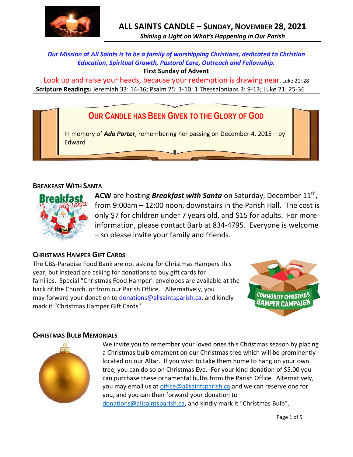

*Shining a Light on What's Happening in Our Parish*

*Our Mission at All Saints is to be a family of worshipping Christians, dedicated to Christian Education, Spiritual Growth, Pastoral Care, Outreach and Fellowship.*

**First Sunday of Advent**

Look up and raise your heads, because your redemption is drawing near. Luke 21: 28 **Scripture Readings:** Jeremiah 33: 14-16; Psalm 25: 1-10; 1 Thessalonians 3: 9-13; Luke 21: 25-36

# **OUR CANDLE HAS BEEN GIVEN TO THE GLORY OF GOD**

In memory of *Ada Porter*, remembering her passing on December 4, 2015 – by **Edward** 

# **BREAKFAST WITH SANTA**



ACW are hosting *Breakfast with Santa* on Saturday, December 11<sup>th</sup>, from 9:00am – 12:00 noon, downstairs in the Parish Hall. The cost is only \$7 for children under 7 years old, and \$15 for adults. For more information, please contact Barb at 834-4795. Everyone is welcome – so please invite your family and friends.

# **CHRISTMAS HAMPER GIFT CARDS**

The CBS-Paradise Food Bank are not asking for Christmas Hampers this year, but instead are asking for donations to buy gift cards for families. Special "Christmas Food Hamper" envelopes are available at the back of the Church, or from our Parish Office. Alternatively, you may forward your donation to [donations@allsaintsparish.ca,](mailto:donations@allsaintsparish.ca) and kindly mark it "Christmas Hamper Gift Cards".



# **CHRISTMAS BULB MEMORIALS**



We invite you to remember your loved ones this Christmas season by placing a Christmas bulb ornament on our Christmas tree which will be prominently located on our Altar. If you wish to take them home to hang on your own tree, you can do so on Christmas Eve. For your kind donation of \$5.00 you can purchase these ornamental bulbs from the Parish Office. Alternatively, you may email us a[t office@allsaintsparish.ca](mailto:office@allsaintsparish.ca) and we can reserve one for you, and you can then forward your donation to [donations@allsaintsparish.ca](mailto:donations@allsaintsparish.ca), and kindly mark it "Christmas Bulb".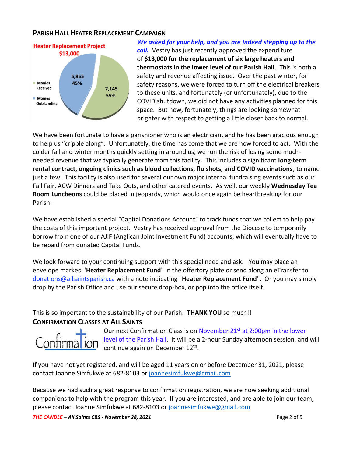# **PARISH HALL HEATER REPLACEMENT CAMPAIGN**



# *We asked for your help, and you are indeed stepping up to the*

*call.* Vestry has just recently approved the expenditure of **\$13,000 for the replacement of six large heaters and thermostats in the lower level of our Parish Hall**. This is both a safety and revenue affecting issue. Over the past winter, for safety reasons, we were forced to turn off the electrical breakers to these units, and fortunately (or unfortunately), due to the COVID shutdown, we did not have any activities planned for this space. But now, fortunately, things are looking somewhat brighter with respect to getting a little closer back to normal.

We have been fortunate to have a parishioner who is an electrician, and he has been gracious enough to help us "cripple along". Unfortunately, the time has come that we are now forced to act. With the colder fall and winter months quickly setting in around us, we run the risk of losing some muchneeded revenue that we typically generate from this facility. This includes a significant **long-term rental contract, ongoing clinics such as blood collections, flu shots, and COVID vaccinations**, to name just a few. This facility is also used for several our own major internal fundraising events such as our Fall Fair, ACW Dinners and Take Outs, and other catered events. As well, our weekly **Wednesday Tea Room Luncheons** could be placed in jeopardy, which would once again be heartbreaking for our Parish.

We have established a special "Capital Donations Account" to track funds that we collect to help pay the costs of this important project. Vestry has received approval from the Diocese to temporarily borrow from one of our AJIF (Anglican Joint Investment Fund) accounts, which will eventually have to be repaid from donated Capital Funds.

We look forward to your continuing support with this special need and ask. You may place an envelope marked "**Heater Replacement Fund**" in the offertory plate or send along an eTransfer to donations@allsaintsparish.ca with a note indicating "**Heater Replacement Fund**". Or you may simply drop by the Parish Office and use our secure drop-box, or pop into the office itself.

This is so important to the sustainability of our Parish. **THANK YOU** so much!!

# **CONFIRMATION CLASSES AT ALL SAINTS**



Our next Confirmation Class is on November 21<sup>st</sup> at 2:00pm in the lower level of the Parish Hall. It will be a 2-hour Sunday afternoon session, and will continue again on December 12<sup>th</sup>.

If you have not yet registered, and will be aged 11 years on or before December 31, 2021, please contact Joanne Simfukwe at 682-8103 or [joannesimfukwe@gmail.com](mailto:joannesimfukwe@gmail.com)

Because we had such a great response to confirmation registration, we are now seeking additional companions to help with the program this year. If you are interested, and are able to join our team, please contact Joanne Simfukwe at 682-8103 or [joannesimfukwe@gmail.com](mailto:joannesimfukwe@gmail.com)

*THE CANDLE – All Saints CBS - November 28, 2021* Page 2 of 5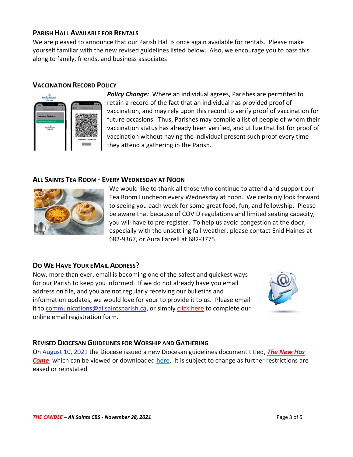#### **PARISH HALL AVAILABLE FOR RENTALS**

We are pleased to announce that our Parish Hall is once again available for rentals. Please make yourself familiar with the new revised guidelines listed below. Also, we encourage you to pass this along to family, friends, and business associates

### **VACCINATION RECORD POLICY**



*Policy Change:* Where an individual agrees, Parishes are permitted to retain a record of the fact that an individual has provided proof of vaccination, and may rely upon this record to verify proof of vaccination for future occasions. Thus, Parishes may compile a list of people of whom their vaccination status has already been verified, and utilize that list for proof of vaccination without having the individual present such proof every time they attend a gathering in the Parish.

# **ALL SAINTS TEA ROOM - EVERY WEDNESDAY AT NOON**



We would like to thank all those who continue to attend and support our Tea Room Luncheon every Wednesday at noon. We certainly look forward to seeing you each week for some great food, fun, and fellowship. Please be aware that because of COVID regulations and limited seating capacity, you will have to pre-register. To help us avoid congestion at the door, especially with the unsettling fall weather, please contact Enid Haines at 682-9367, or Aura Farrell at 682-3775.

# **DO WE HAVE YOUR EMAIL ADDRESS?**

Now, more than ever, email is becoming one of the safest and quickest ways for our Parish to keep you informed. If we do not already have you email address on file, and you are not regularly receiving our bulletins and information updates, we would love for your to provide it to us. Please email it to [communications@allsaintsparish.ca,](mailto:communications@allsaintsparish.ca?subject=eMail%20Address%20Update) or simply [click here](http://allsaintsparish.ca/email_updates) to complete our online email registration form.



# **REVISED DIOCESAN GUIDELINES FOR WORSHIP AND GATHERING**

On August 10, 2021 the Diocese issued a new Diocesan guidelines document titled, *[The New Has](https://anglicanenl.net/home/wp-content/uploads/2021/08/The-New-Has-Come-August-10-2021.pdf?fbclid=IwAR2_9nhbxB2LEc3XOqAP_nvoRu4G5Mt6NWIYwOEYNI0OtUl0atv2QwCfCY0)  [Come](https://anglicanenl.net/home/wp-content/uploads/2021/08/The-New-Has-Come-August-10-2021.pdf?fbclid=IwAR2_9nhbxB2LEc3XOqAP_nvoRu4G5Mt6NWIYwOEYNI0OtUl0atv2QwCfCY0)*, which can be viewed or downloaded [here.](https://anglicanenl.net/home/wp-content/uploads/2021/08/The-New-Has-Come-August-10-2021.pdf?fbclid=IwAR2_9nhbxB2LEc3XOqAP_nvoRu4G5Mt6NWIYwOEYNI0OtUl0atv2QwCfCY0) It is subject to change as further restrictions are eased or reinstated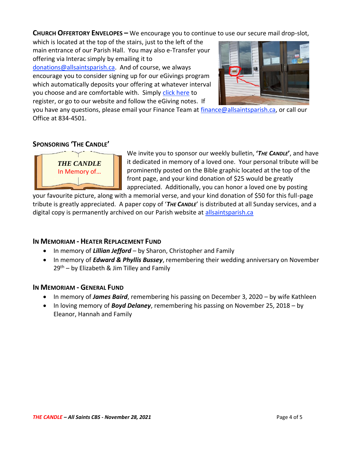**CHURCH OFFERTORY ENVELOPES –** We encourage you to continue to use our secure mail drop-slot,

which is located at the top of the stairs, just to the left of the main entrance of our Parish Hall. You may also e-Transfer your offering via Interac simply by emailing it to [donations@allsaintsparish.ca.](mailto:donations@allsaintsparish.ca) And of course, we always encourage you to consider signing up for our eGivings program which automatically deposits your offering at whatever interval you choose and are comfortable with. Simply [click here](http://allsaintsparish.ca/egiving-online-information-form) to register, or go to our website and follow the eGiving notes. If



you have [any](https://wfsites-to.websitecreatorprotool.com/870a5dd5.com/Admin/%7BSK_NODEID__22939341__SK%7D) questions, please email your Finance Team at [finance@allsaintsparish.ca,](mailto:finance@allsaintsparish.ca) or call our Office at 834-4501.

# **SPONSORING 'THE CANDLE'**



We invite you to sponsor our weekly bulletin, **'***THE CANDLE***'**, and have it dedicated in memory of a loved one. Your personal tribute will be prominently posted on the Bible graphic located at the top of the front page, and your kind donation of \$25 would be greatly appreciated. Additionally, you can honor a loved one by posting

your favourite picture, along with a memorial verse, and your kind donation of \$50 for this full-page tribute is greatly appreciated. A paper copy of '*THE CANDLE*' is distributed at all Sunday services, and a digital copy is permanently archived on our Parish website at [allsaintsparish.ca](http://allsaintsparish.ca/thecandle.html)

# **IN MEMORIAM - HEATER REPLACEMENT FUND**

- In memory of *Lillian Jefford* by Sharon, Christopher and Family
- In memory of *Edward & Phyllis Bussey*, remembering their wedding anniversary on November  $29<sup>th</sup>$  – by Elizabeth & Jim Tilley and Family

# **IN MEMORIAM - GENERAL FUND**

- In memory of *James Baird*, remembering his passing on December 3, 2020 by wife Kathleen
- In loving memory of *Boyd Delaney*, remembering his passing on November 25, 2018 by Eleanor, Hannah and Family